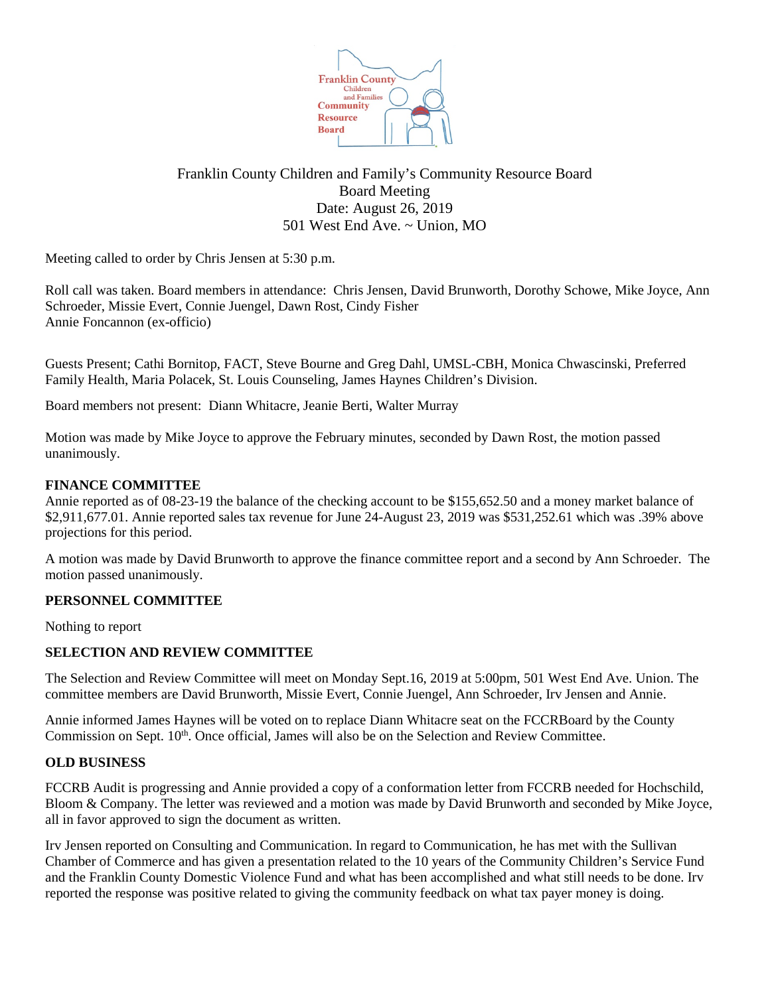

# Franklin County Children and Family's Community Resource Board Board Meeting Date: August 26, 2019 501 West End Ave. ~ Union, MO

Meeting called to order by Chris Jensen at 5:30 p.m.

Roll call was taken. Board members in attendance: Chris Jensen, David Brunworth, Dorothy Schowe, Mike Joyce, Ann Schroeder, Missie Evert, Connie Juengel, Dawn Rost, Cindy Fisher Annie Foncannon (ex-officio)

Guests Present; Cathi Bornitop, FACT, Steve Bourne and Greg Dahl, UMSL-CBH, Monica Chwascinski, Preferred Family Health, Maria Polacek, St. Louis Counseling, James Haynes Children's Division.

Board members not present: Diann Whitacre, Jeanie Berti, Walter Murray

Motion was made by Mike Joyce to approve the February minutes, seconded by Dawn Rost, the motion passed unanimously.

### **FINANCE COMMITTEE**

Annie reported as of 08-23-19 the balance of the checking account to be \$155,652.50 and a money market balance of \$2,911,677.01. Annie reported sales tax revenue for June 24-August 23, 2019 was \$531,252.61 which was .39% above projections for this period.

A motion was made by David Brunworth to approve the finance committee report and a second by Ann Schroeder. The motion passed unanimously.

# **PERSONNEL COMMITTEE**

Nothing to report

# **SELECTION AND REVIEW COMMITTEE**

The Selection and Review Committee will meet on Monday Sept.16, 2019 at 5:00pm, 501 West End Ave. Union. The committee members are David Brunworth, Missie Evert, Connie Juengel, Ann Schroeder, Irv Jensen and Annie.

Annie informed James Haynes will be voted on to replace Diann Whitacre seat on the FCCRBoard by the County Commission on Sept.  $10<sup>th</sup>$ . Once official, James will also be on the Selection and Review Committee.

#### **OLD BUSINESS**

FCCRB Audit is progressing and Annie provided a copy of a conformation letter from FCCRB needed for Hochschild, Bloom & Company. The letter was reviewed and a motion was made by David Brunworth and seconded by Mike Joyce, all in favor approved to sign the document as written.

Irv Jensen reported on Consulting and Communication. In regard to Communication, he has met with the Sullivan Chamber of Commerce and has given a presentation related to the 10 years of the Community Children's Service Fund and the Franklin County Domestic Violence Fund and what has been accomplished and what still needs to be done. Irv reported the response was positive related to giving the community feedback on what tax payer money is doing.